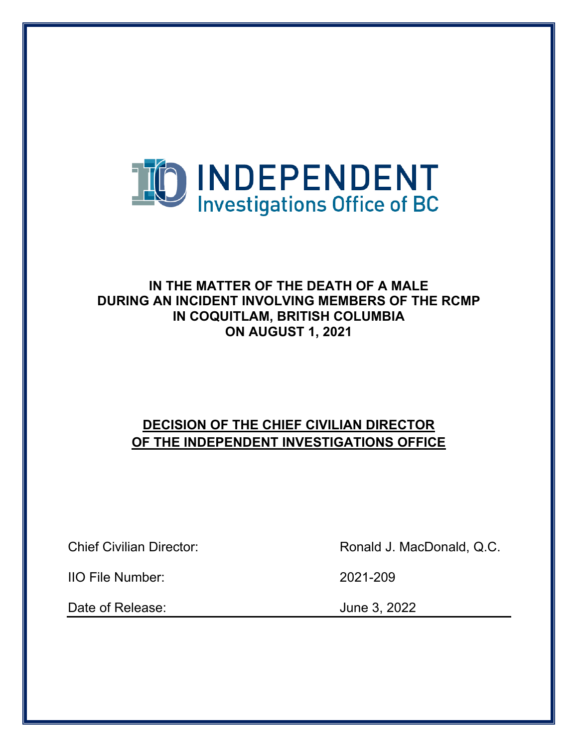

### **IN THE MATTER OF THE DEATH OF A MALE DURING AN INCIDENT INVOLVING MEMBERS OF THE RCMP IN COQUITLAM, BRITISH COLUMBIA ON AUGUST 1, 2021**

# **DECISION OF THE CHIEF CIVILIAN DIRECTOR OF THE INDEPENDENT INVESTIGATIONS OFFICE**

Chief Civilian Director:

Ronald J. MacDonald, Q.C.

IIO File Number:

Date of Release:

2021-209

June 3, 2022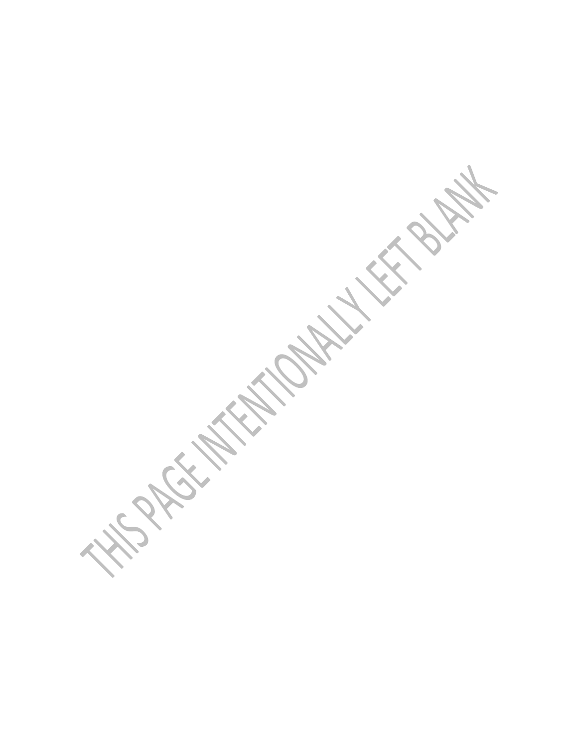Hispanistic Miller Button River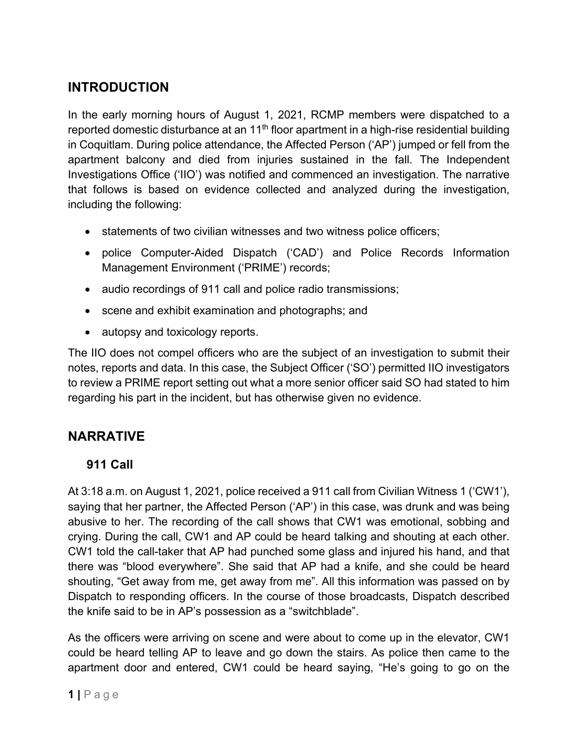# **INTRODUCTION**

In the early morning hours of August 1, 2021, RCMP members were dispatched to a reported domestic disturbance at an  $11<sup>th</sup>$  floor apartment in a high-rise residential building in Coquitlam. During police attendance, the Affected Person ('AP') jumped or fell from the apartment balcony and died from injuries sustained in the fall. The Independent Investigations Office ('IIO') was notified and commenced an investigation. The narrative that follows is based on evidence collected and analyzed during the investigation, including the following:

- statements of two civilian witnesses and two witness police officers;
- police Computer-Aided Dispatch ('CAD') and Police Records Information Management Environment ('PRIME') records;
- audio recordings of 911 call and police radio transmissions;
- scene and exhibit examination and photographs; and
- autopsy and toxicology reports.

The IIO does not compel officers who are the subject of an investigation to submit their notes, reports and data. In this case, the Subject Officer ('SO') permitted IIO investigators to review a PRIME report setting out what a more senior officer said SO had stated to him regarding his part in the incident, but has otherwise given no evidence.

#### **NARRATIVE**

#### **911 Call**

At 3:18 a.m. on August 1, 2021, police received a 911 call from Civilian Witness 1 ('CW1'), saying that her partner, the Affected Person ('AP') in this case, was drunk and was being abusive to her. The recording of the call shows that CW1 was emotional, sobbing and crying. During the call, CW1 and AP could be heard talking and shouting at each other. CW1 told the call-taker that AP had punched some glass and injured his hand, and that there was "blood everywhere". She said that AP had a knife, and she could be heard shouting, "Get away from me, get away from me". All this information was passed on by Dispatch to responding officers. In the course of those broadcasts, Dispatch described the knife said to be in AP's possession as a "switchblade".

As the officers were arriving on scene and were about to come up in the elevator, CW1 could be heard telling AP to leave and go down the stairs. As police then came to the apartment door and entered, CW1 could be heard saying, "He's going to go on the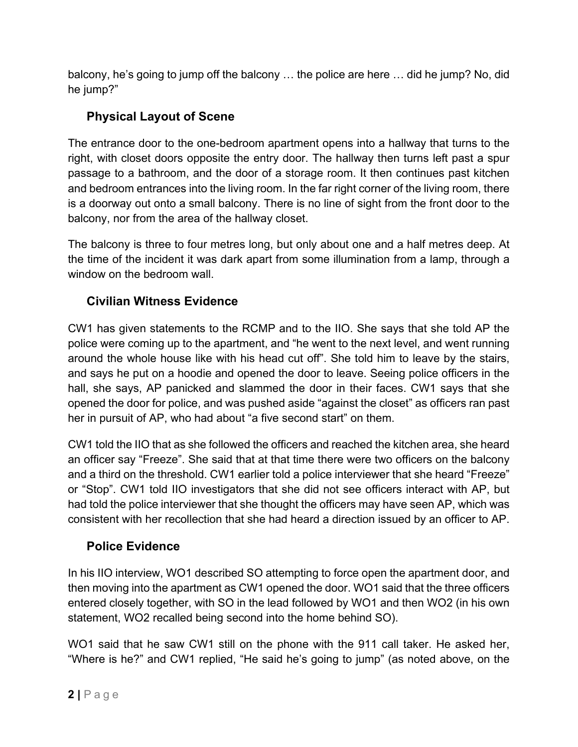balcony, he's going to jump off the balcony … the police are here … did he jump? No, did he jump?"

# **Physical Layout of Scene**

The entrance door to the one-bedroom apartment opens into a hallway that turns to the right, with closet doors opposite the entry door. The hallway then turns left past a spur passage to a bathroom, and the door of a storage room. It then continues past kitchen and bedroom entrances into the living room. In the far right corner of the living room, there is a doorway out onto a small balcony. There is no line of sight from the front door to the balcony, nor from the area of the hallway closet.

The balcony is three to four metres long, but only about one and a half metres deep. At the time of the incident it was dark apart from some illumination from a lamp, through a window on the bedroom wall.

#### **Civilian Witness Evidence**

CW1 has given statements to the RCMP and to the IIO. She says that she told AP the police were coming up to the apartment, and "he went to the next level, and went running around the whole house like with his head cut off". She told him to leave by the stairs, and says he put on a hoodie and opened the door to leave. Seeing police officers in the hall, she says, AP panicked and slammed the door in their faces. CW1 says that she opened the door for police, and was pushed aside "against the closet" as officers ran past her in pursuit of AP, who had about "a five second start" on them.

CW1 told the IIO that as she followed the officers and reached the kitchen area, she heard an officer say "Freeze". She said that at that time there were two officers on the balcony and a third on the threshold. CW1 earlier told a police interviewer that she heard "Freeze" or "Stop". CW1 told IIO investigators that she did not see officers interact with AP, but had told the police interviewer that she thought the officers may have seen AP, which was consistent with her recollection that she had heard a direction issued by an officer to AP.

# **Police Evidence**

In his IIO interview, WO1 described SO attempting to force open the apartment door, and then moving into the apartment as CW1 opened the door. WO1 said that the three officers entered closely together, with SO in the lead followed by WO1 and then WO2 (in his own statement, WO2 recalled being second into the home behind SO).

WO1 said that he saw CW1 still on the phone with the 911 call taker. He asked her, "Where is he?" and CW1 replied, "He said he's going to jump" (as noted above, on the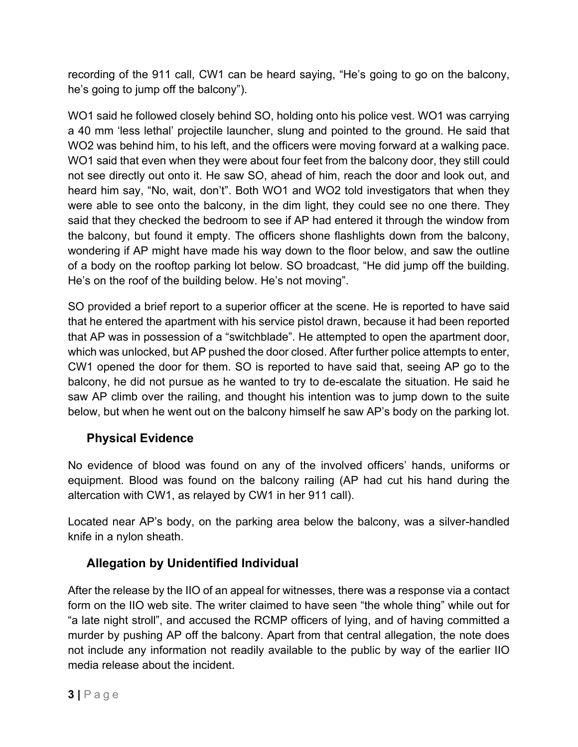recording of the 911 call, CW1 can be heard saying, "He's going to go on the balcony, he's going to jump off the balcony").

WO1 said he followed closely behind SO, holding onto his police vest. WO1 was carrying a 40 mm 'less lethal' projectile launcher, slung and pointed to the ground. He said that WO2 was behind him, to his left, and the officers were moving forward at a walking pace. WO1 said that even when they were about four feet from the balcony door, they still could not see directly out onto it. He saw SO, ahead of him, reach the door and look out, and heard him say, "No, wait, don't". Both WO1 and WO2 told investigators that when they were able to see onto the balcony, in the dim light, they could see no one there. They said that they checked the bedroom to see if AP had entered it through the window from the balcony, but found it empty. The officers shone flashlights down from the balcony, wondering if AP might have made his way down to the floor below, and saw the outline of a body on the rooftop parking lot below. SO broadcast, "He did jump off the building. He's on the roof of the building below. He's not moving".

SO provided a brief report to a superior officer at the scene. He is reported to have said that he entered the apartment with his service pistol drawn, because it had been reported that AP was in possession of a "switchblade". He attempted to open the apartment door, which was unlocked, but AP pushed the door closed. After further police attempts to enter, CW1 opened the door for them. SO is reported to have said that, seeing AP go to the balcony, he did not pursue as he wanted to try to de-escalate the situation. He said he saw AP climb over the railing, and thought his intention was to jump down to the suite below, but when he went out on the balcony himself he saw AP's body on the parking lot.

#### **Physical Evidence**

No evidence of blood was found on any of the involved officers' hands, uniforms or equipment. Blood was found on the balcony railing (AP had cut his hand during the altercation with CW1, as relayed by CW1 in her 911 call).

Located near AP's body, on the parking area below the balcony, was a silver-handled knife in a nylon sheath.

#### **Allegation by Unidentified Individual**

After the release by the IIO of an appeal for witnesses, there was a response via a contact form on the IIO web site. The writer claimed to have seen "the whole thing" while out for "a late night stroll", and accused the RCMP officers of lying, and of having committed a murder by pushing AP off the balcony. Apart from that central allegation, the note does not include any information not readily available to the public by way of the earlier IIO media release about the incident.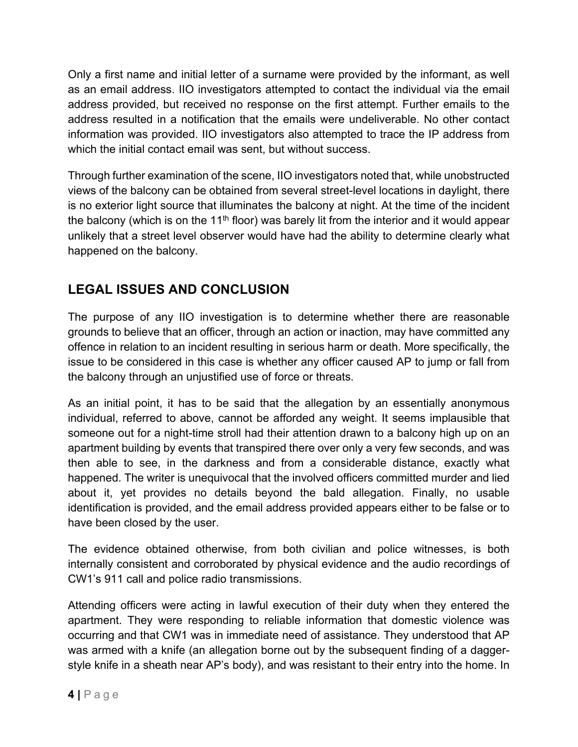Only a first name and initial letter of a surname were provided by the informant, as well as an email address. IIO investigators attempted to contact the individual via the email address provided, but received no response on the first attempt. Further emails to the address resulted in a notification that the emails were undeliverable. No other contact information was provided. IIO investigators also attempted to trace the IP address from which the initial contact email was sent, but without success.

Through further examination of the scene, IIO investigators noted that, while unobstructed views of the balcony can be obtained from several street-level locations in daylight, there is no exterior light source that illuminates the balcony at night. At the time of the incident the balcony (which is on the 11<sup>th</sup> floor) was barely lit from the interior and it would appear unlikely that a street level observer would have had the ability to determine clearly what happened on the balcony.

# **LEGAL ISSUES AND CONCLUSION**

The purpose of any IIO investigation is to determine whether there are reasonable grounds to believe that an officer, through an action or inaction, may have committed any offence in relation to an incident resulting in serious harm or death. More specifically, the issue to be considered in this case is whether any officer caused AP to jump or fall from the balcony through an unjustified use of force or threats.

As an initial point, it has to be said that the allegation by an essentially anonymous individual, referred to above, cannot be afforded any weight. It seems implausible that someone out for a night-time stroll had their attention drawn to a balcony high up on an apartment building by events that transpired there over only a very few seconds, and was then able to see, in the darkness and from a considerable distance, exactly what happened. The writer is unequivocal that the involved officers committed murder and lied about it, yet provides no details beyond the bald allegation. Finally, no usable identification is provided, and the email address provided appears either to be false or to have been closed by the user.

The evidence obtained otherwise, from both civilian and police witnesses, is both internally consistent and corroborated by physical evidence and the audio recordings of CW1's 911 call and police radio transmissions.

Attending officers were acting in lawful execution of their duty when they entered the apartment. They were responding to reliable information that domestic violence was occurring and that CW1 was in immediate need of assistance. They understood that AP was armed with a knife (an allegation borne out by the subsequent finding of a daggerstyle knife in a sheath near AP's body), and was resistant to their entry into the home. In